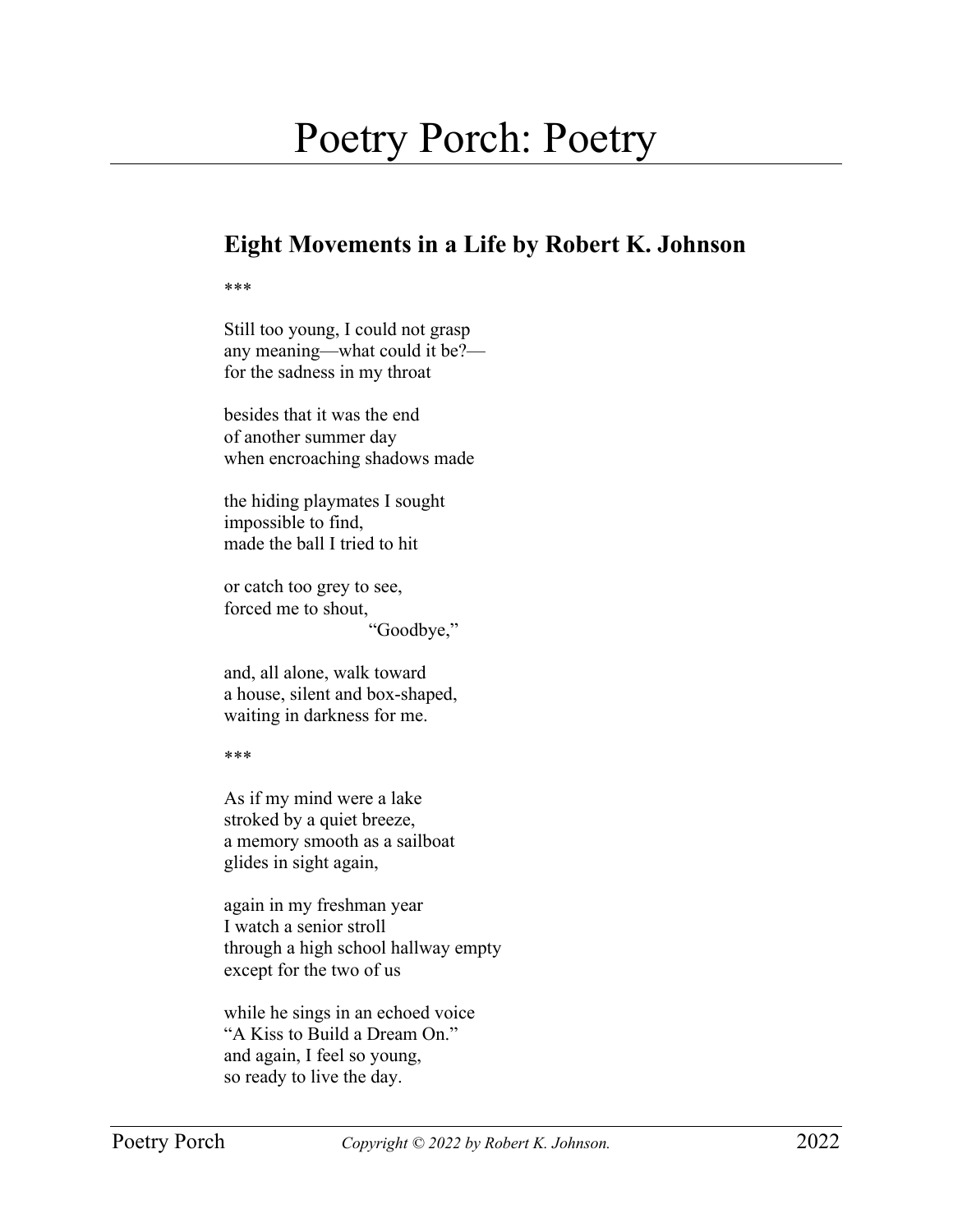## Poetry Porch: Poetry

## **Eight Movements in a Life by Robert K. Johnson**

\*\*\*

Still too young, I could not grasp any meaning—what could it be? for the sadness in my throat

besides that it was the end of another summer day when encroaching shadows made

the hiding playmates I sought impossible to find, made the ball I tried to hit

or catch too grey to see, forced me to shout, "Goodbye,"

and, all alone, walk toward a house, silent and box-shaped, waiting in darkness for me.

\*\*\*

As if my mind were a lake stroked by a quiet breeze, a memory smooth as a sailboat glides in sight again,

again in my freshman year I watch a senior stroll through a high school hallway empty except for the two of us

while he sings in an echoed voice "A Kiss to Build a Dream On." and again, I feel so young, so ready to live the day.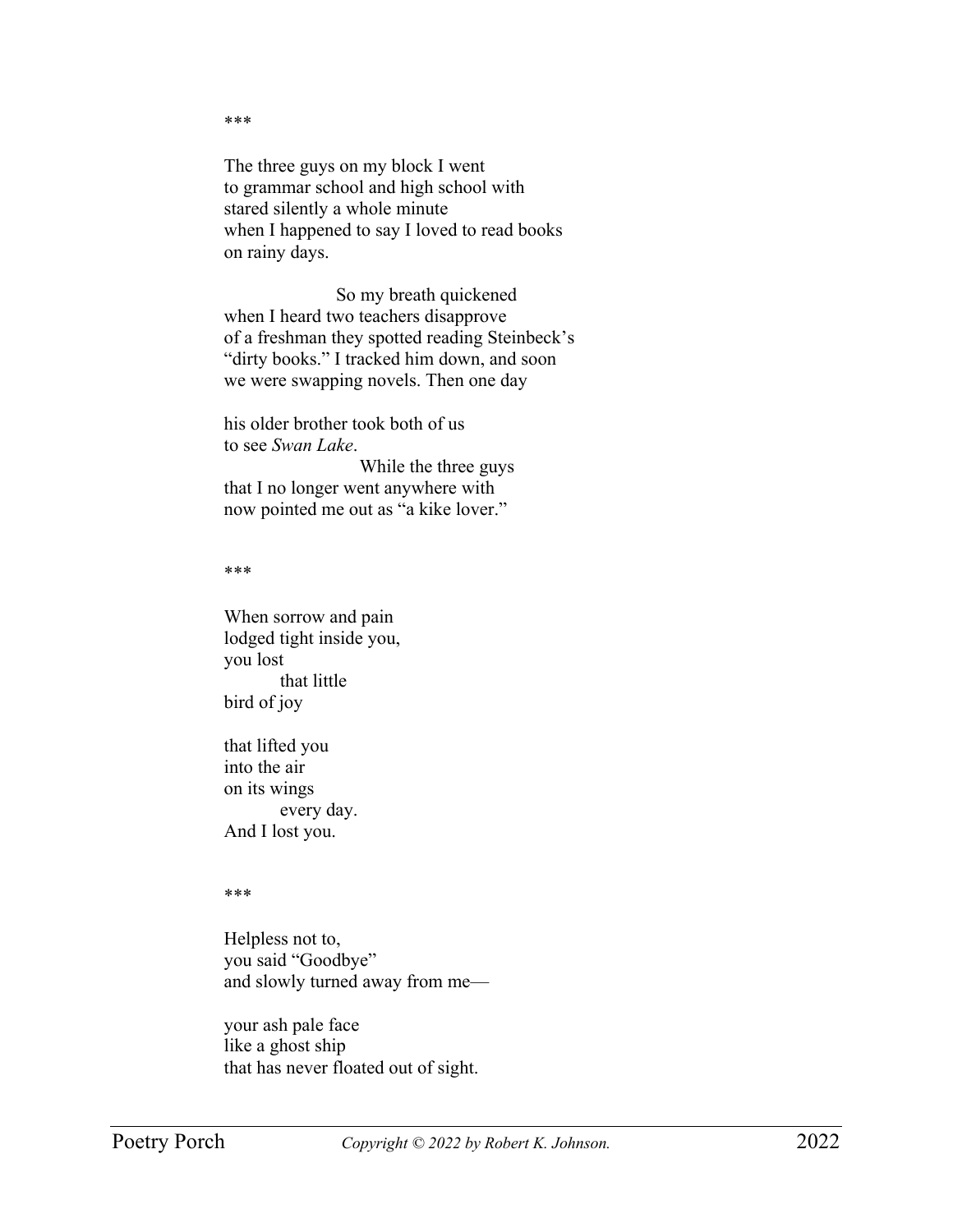The three guys on my block I went to grammar school and high school with stared silently a whole minute when I happened to say I loved to read books on rainy days.

So my breath quickened when I heard two teachers disapprove of a freshman they spotted reading Steinbeck's "dirty books." I tracked him down, and soon we were swapping novels. Then one day

his older brother took both of us to see *Swan Lake*. While the three guys that I no longer went anywhere with now pointed me out as "a kike lover."

## \*\*\*

\*\*\*

When sorrow and pain lodged tight inside you, you lost that little bird of joy

that lifted you into the air on its wings every day. And I lost you.

## \*\*\*

Helpless not to, you said "Goodbye" and slowly turned away from me—

your ash pale face like a ghost ship that has never floated out of sight.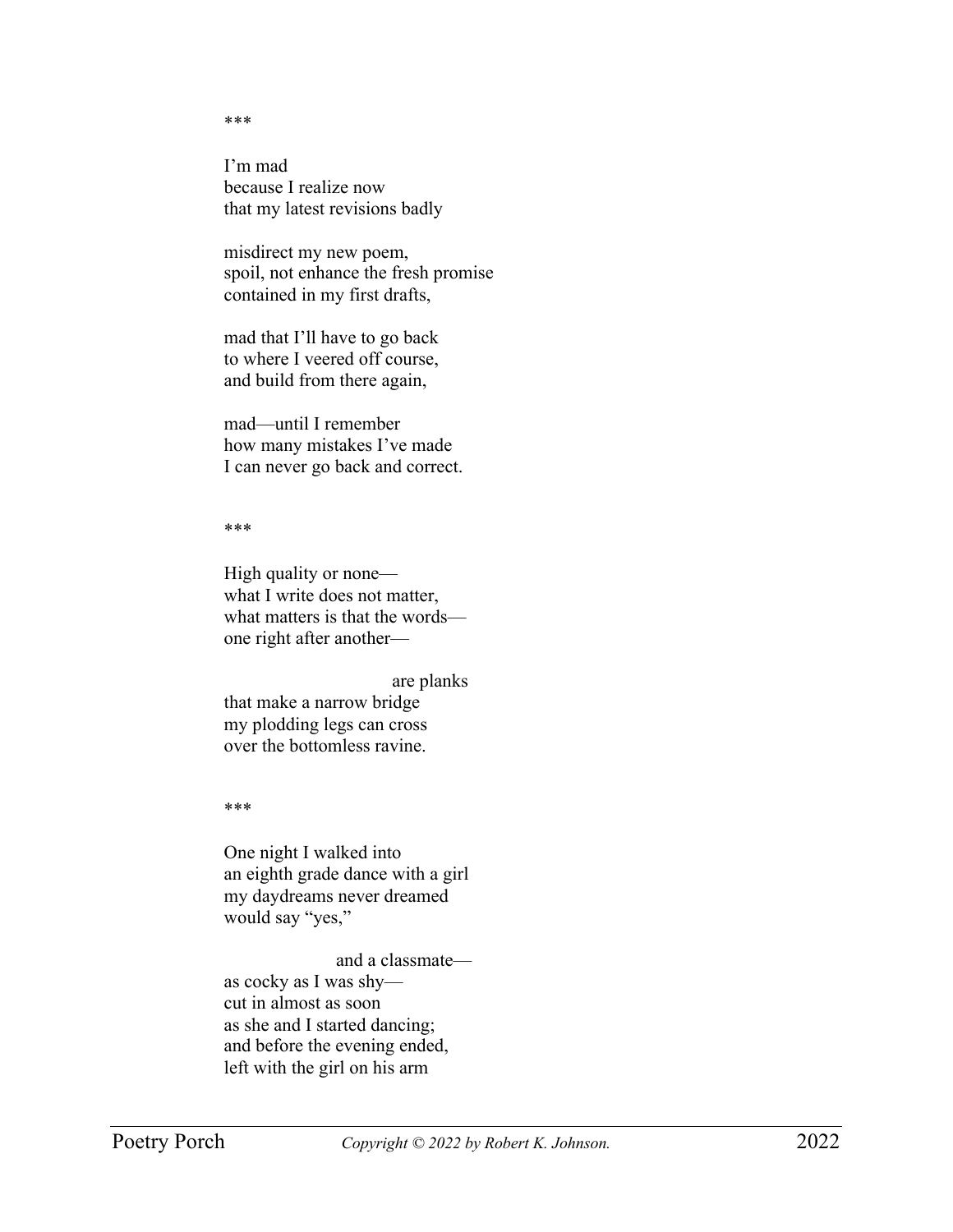\*\*\*

I'm mad because I realize now that my latest revisions badly

misdirect my new poem, spoil, not enhance the fresh promise contained in my first drafts,

mad that I'll have to go back to where I veered off course, and build from there again,

mad—until I remember how many mistakes I've made I can never go back and correct.

\*\*\*

High quality or none what I write does not matter, what matters is that the words one right after another—

are planks that make a narrow bridge my plodding legs can cross over the bottomless ravine.

\*\*\*

One night I walked into an eighth grade dance with a girl my daydreams never dreamed would say "yes,"

and a classmate as cocky as I was shy cut in almost as soon as she and I started dancing; and before the evening ended, left with the girl on his arm